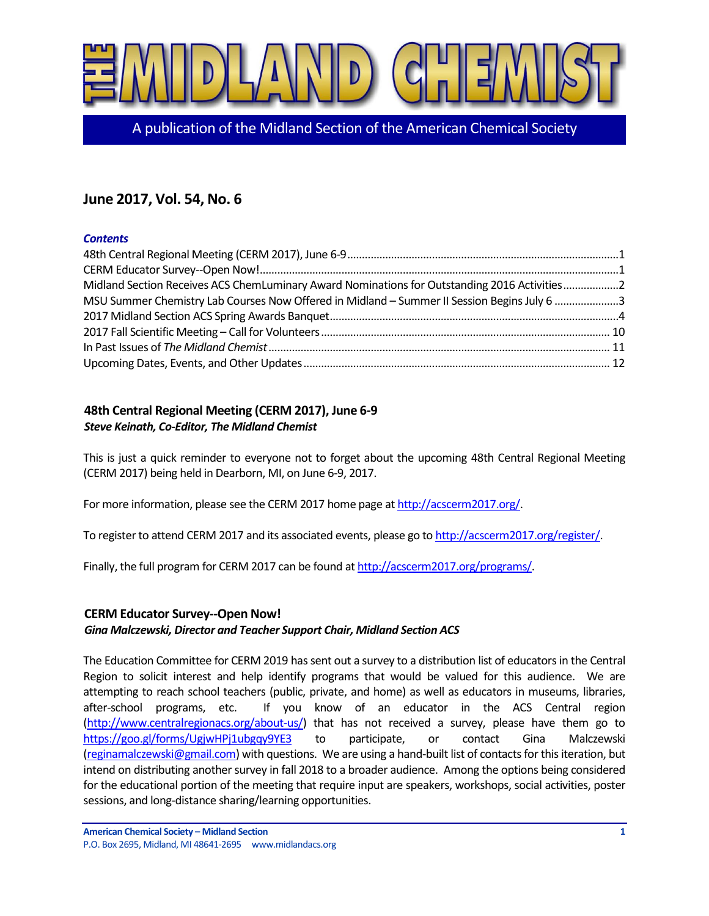

A publication of the Midland Section of the American Chemical Society

# **June 2017, Vol. 54, No. 6**

# *Contents*

| Midland Section Receives ACS ChemLuminary Award Nominations for Outstanding 2016 Activities2 |  |
|----------------------------------------------------------------------------------------------|--|
| MSU Summer Chemistry Lab Courses Now Offered in Midland - Summer II Session Begins July 6 3  |  |
|                                                                                              |  |
|                                                                                              |  |
|                                                                                              |  |
|                                                                                              |  |

# <span id="page-0-0"></span>**48th Central Regional Meeting (CERM 2017), June 6-9** *Steve Keinath, Co-Editor, The Midland Chemist*

This is just a quick reminder to everyone not to forget about the upcoming 48th Central Regional Meeting (CERM 2017) being held in Dearborn, MI, on June 6-9, 2017.

For more information, please see the CERM 2017 home page a[t http://acscerm2017.org/.](http://acscerm2017.org/)

To register to attend CERM 2017 and its associated events, please go t[o http://acscerm2017.org/register/.](http://acscerm2017.org/register/)

Finally, the full program for CERM 2017 can be found a[t http://acscerm2017.org/programs/.](http://acscerm2017.org/programs/)

# <span id="page-0-1"></span>**CERM Educator Survey--Open Now!**

# *Gina Malczewski, Director and Teacher Support Chair, Midland Section ACS*

The Education Committee for CERM 2019 has sent out a survey to a distribution list of educators in the Central Region to solicit interest and help identify programs that would be valued for this audience. We are attempting to reach school teachers (public, private, and home) as well as educators in museums, libraries, after-school programs, etc. If you know of an educator in the ACS Central region [\(http://www.centralregionacs.org/about-us/\)](http://www.centralregionacs.org/about-us/) that has not received a survey, please have them go to <https://goo.gl/forms/UgjwHPj1ubgqy9YE3> to participate, or contact Gina Malczewski [\(reginamalczewski@gmail.com\)](mailto:reginamalczewski@gmail.com) with questions. We are using a hand-built list of contacts for this iteration, but intend on distributing another survey in fall 2018 to a broader audience. Among the options being considered for the educational portion of the meeting that require input are speakers, workshops, social activities, poster sessions, and long-distance sharing/learning opportunities.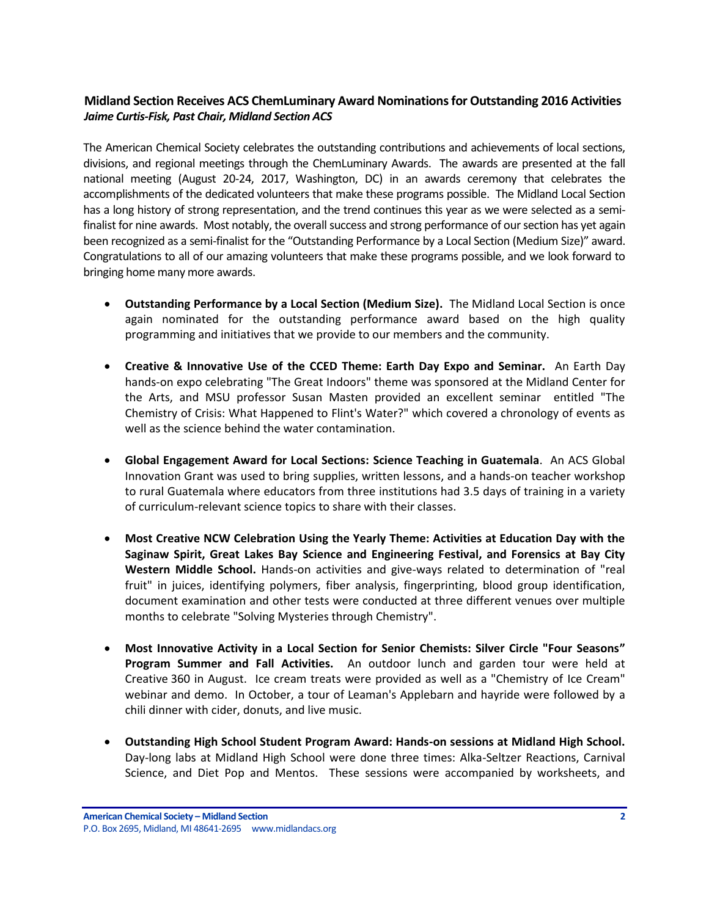# <span id="page-1-0"></span>**Midland Section Receives ACS ChemLuminary Award Nominations for Outstanding 2016 Activities** *Jaime Curtis-Fisk, Past Chair, Midland Section ACS*

The American Chemical Society celebrates the outstanding contributions and achievements of local sections, divisions, and regional meetings through the ChemLuminary Awards. The awards are presented at the fall national meeting (August 20-24, 2017, Washington, DC) in an awards ceremony that celebrates the accomplishments of the dedicated volunteers that make these programs possible. The Midland Local Section has a long history of strong representation, and the trend continues this year as we were selected as a semifinalist for nine awards. Most notably, the overall success and strong performance of our section has yet again been recognized as a semi-finalist for the "Outstanding Performance by a Local Section (Medium Size)" award. Congratulations to all of our amazing volunteers that make these programs possible, and we look forward to bringing home many more awards.

- **Outstanding Performance by a Local Section (Medium Size).** The Midland Local Section is once again nominated for the outstanding performance award based on the high quality programming and initiatives that we provide to our members and the community.
- **Creative & Innovative Use of the CCED Theme: Earth Day Expo and Seminar.** An Earth Day hands-on expo celebrating "The Great Indoors" theme was sponsored at the Midland Center for the Arts, and MSU professor Susan Masten provided an excellent seminar entitled "The Chemistry of Crisis: What Happened to Flint's Water?" which covered a chronology of events as well as the science behind the water contamination.
- **Global Engagement Award for Local Sections: Science Teaching in Guatemala**. An ACS Global Innovation Grant was used to bring supplies, written lessons, and a hands-on teacher workshop to rural Guatemala where educators from three institutions had 3.5 days of training in a variety of curriculum-relevant science topics to share with their classes.
- **Most Creative NCW Celebration Using the Yearly Theme: Activities at Education Day with the Saginaw Spirit, Great Lakes Bay Science and Engineering Festival, and Forensics at Bay City Western Middle School.** Hands-on activities and give-ways related to determination of "real fruit" in juices, identifying polymers, fiber analysis, fingerprinting, blood group identification, document examination and other tests were conducted at three different venues over multiple months to celebrate "Solving Mysteries through Chemistry".
- **Most Innovative Activity in a Local Section for Senior Chemists: Silver Circle "Four Seasons" Program Summer and Fall Activities.** An outdoor lunch and garden tour were held at Creative 360 in August. Ice cream treats were provided as well as a "Chemistry of Ice Cream" webinar and demo. In October, a tour of Leaman's Applebarn and hayride were followed by a chili dinner with cider, donuts, and live music.
- **Outstanding High School Student Program Award: Hands-on sessions at Midland High School.**  Day-long labs at Midland High School were done three times: Alka-Seltzer Reactions, Carnival Science, and Diet Pop and Mentos. These sessions were accompanied by worksheets, and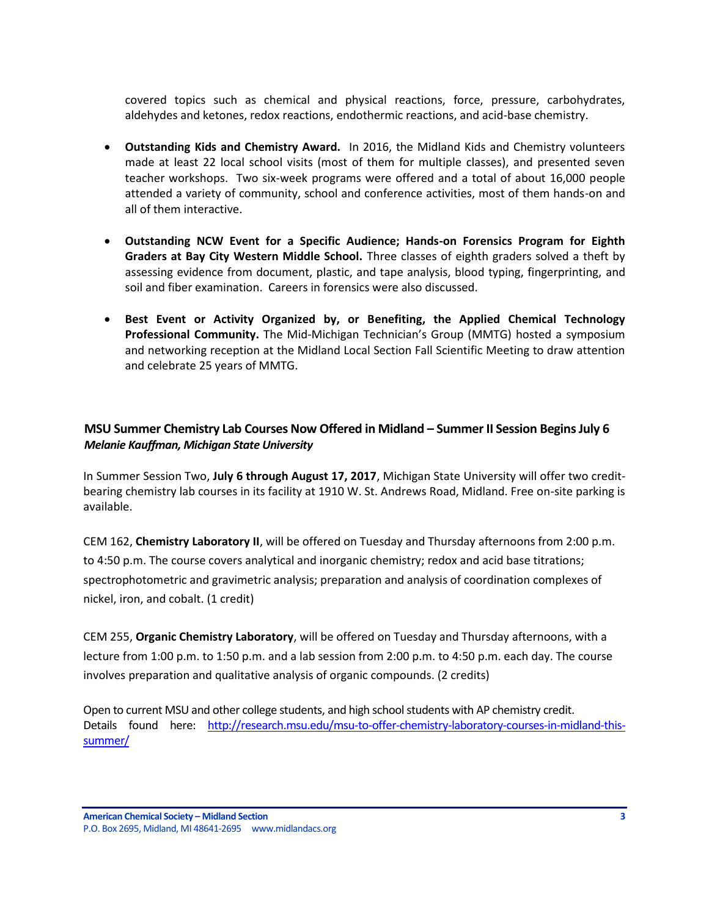covered topics such as chemical and physical reactions, force, pressure, carbohydrates, aldehydes and ketones, redox reactions, endothermic reactions, and acid-base chemistry.

- **Outstanding Kids and Chemistry Award.** In 2016, the Midland Kids and Chemistry volunteers made at least 22 local school visits (most of them for multiple classes), and presented seven teacher workshops. Two six-week programs were offered and a total of about 16,000 people attended a variety of community, school and conference activities, most of them hands-on and all of them interactive.
- **Outstanding NCW Event for a Specific Audience; Hands-on Forensics Program for Eighth Graders at Bay City Western Middle School.** Three classes of eighth graders solved a theft by assessing evidence from document, plastic, and tape analysis, blood typing, fingerprinting, and soil and fiber examination. Careers in forensics were also discussed.
- **Best Event or Activity Organized by, or Benefiting, the Applied Chemical Technology Professional Community.** The Mid-Michigan Technician's Group (MMTG) hosted a symposium and networking reception at the Midland Local Section Fall Scientific Meeting to draw attention and celebrate 25 years of MMTG.

# <span id="page-2-0"></span>**MSU Summer Chemistry Lab Courses Now Offered in Midland – Summer II Session Begins July 6** *Melanie Kauffman, Michigan State University*

In Summer Session Two, **July 6 through August 17, 2017**, Michigan State University will offer two creditbearing chemistry lab courses in its facility at 1910 W. St. Andrews Road, Midland. Free on-site parking is available.

CEM 162, **Chemistry Laboratory II**, will be offered on Tuesday and Thursday afternoons from 2:00 p.m. to 4:50 p.m. The course covers analytical and inorganic chemistry; redox and acid base titrations; spectrophotometric and gravimetric analysis; preparation and analysis of coordination complexes of nickel, iron, and cobalt. (1 credit)

CEM 255, **Organic Chemistry Laboratory**, will be offered on Tuesday and Thursday afternoons, with a lecture from 1:00 p.m. to 1:50 p.m. and a lab session from 2:00 p.m. to 4:50 p.m. each day. The course involves preparation and qualitative analysis of organic compounds. (2 credits)

Open to current MSU and other college students, and high school students with AP chemistry credit. Details found here: [http://research.msu.edu/msu-to-offer-chemistry-laboratory-courses-in-midland-this](https://na01.safelinks.protection.outlook.com/?url=http%3A%2F%2Fresearch.msu.edu%2Fmsu-to-offer-chemistry-laboratory-courses-in-midland-this-summer%2F&data=02%7C01%7Cmmt_u249822185022160332011%40mgd.bsnconnect.com%7C122ebbf7ade9472c424b08d4a3ab53ad%7Cc3e32f53cb7f4809968d1cc4ccc785fe%7C0%7C0%7C636313403621541729&sdata=e74lBHVpy4icgsi0SsuN3NQ9ax2t1Xf8aEfoa420MCM%3D&reserved=0)[summer/](https://na01.safelinks.protection.outlook.com/?url=http%3A%2F%2Fresearch.msu.edu%2Fmsu-to-offer-chemistry-laboratory-courses-in-midland-this-summer%2F&data=02%7C01%7Cmmt_u249822185022160332011%40mgd.bsnconnect.com%7C122ebbf7ade9472c424b08d4a3ab53ad%7Cc3e32f53cb7f4809968d1cc4ccc785fe%7C0%7C0%7C636313403621541729&sdata=e74lBHVpy4icgsi0SsuN3NQ9ax2t1Xf8aEfoa420MCM%3D&reserved=0)

**American Chemical Society – Midland Section 3** P.O. Box 2695, Midland, MI 48641-2695 www.midlandacs.org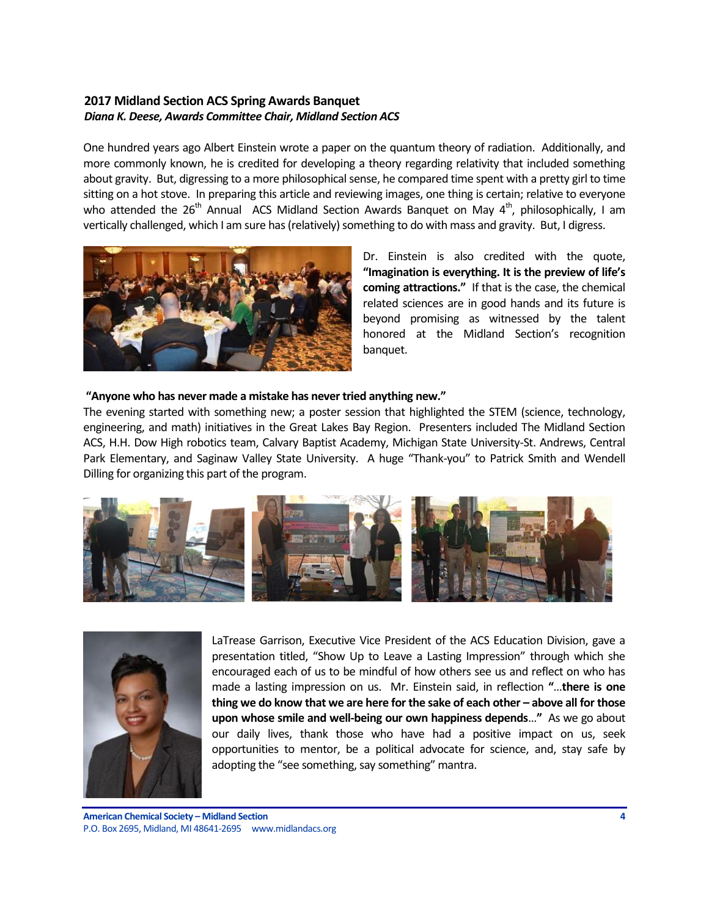# <span id="page-3-0"></span>**2017 Midland Section ACS Spring Awards Banquet** *Diana K. Deese, Awards Committee Chair, Midland Section ACS*

One hundred years ago Albert Einstein wrote a paper on the quantum theory of radiation. Additionally, and more commonly known, he is credited for developing a theory regarding relativity that included something about gravity. But, digressing to a more philosophical sense, he compared time spent with a pretty girl to time sitting on a hot stove. In preparing this article and reviewing images, one thing is certain; relative to everyone who attended the  $26<sup>th</sup>$  Annual ACS Midland Section Awards Banquet on May  $4<sup>th</sup>$ , philosophically, I am vertically challenged, which I am sure has (relatively) something to do with mass and gravity. But, I digress.



Dr. Einstein is also credited with the quote, **"Imagination is everything. It is the preview of life's coming attractions."** If that is the case, the chemical related sciences are in good hands and its future is beyond promising as witnessed by the talent honored at the Midland Section's recognition banquet.

### **"Anyone who has never made a mistake has never tried anything new."**

The evening started with something new; a poster session that highlighted the STEM (science, technology, engineering, and math) initiatives in the Great Lakes Bay Region. Presenters included The Midland Section ACS, H.H. Dow High robotics team, Calvary Baptist Academy, Michigan State University-St. Andrews, Central Park Elementary, and Saginaw Valley State University. A huge "Thank-you" to Patrick Smith and Wendell Dilling for organizing this part of the program.





LaTrease Garrison, Executive Vice President of the ACS Education Division, gave a presentation titled, "Show Up to Leave a Lasting Impression" through which she encouraged each of us to be mindful of how others see us and reflect on who has made a lasting impression on us. Mr. Einstein said, in reflection **"**…**there is one thing we do know that we are here for the sake of each other – above all for those upon whose smile and well-being our own happiness depends**…**"** As we go about our daily lives, thank those who have had a positive impact on us, seek opportunities to mentor, be a political advocate for science, and, stay safe by adopting the "see something, say something" mantra.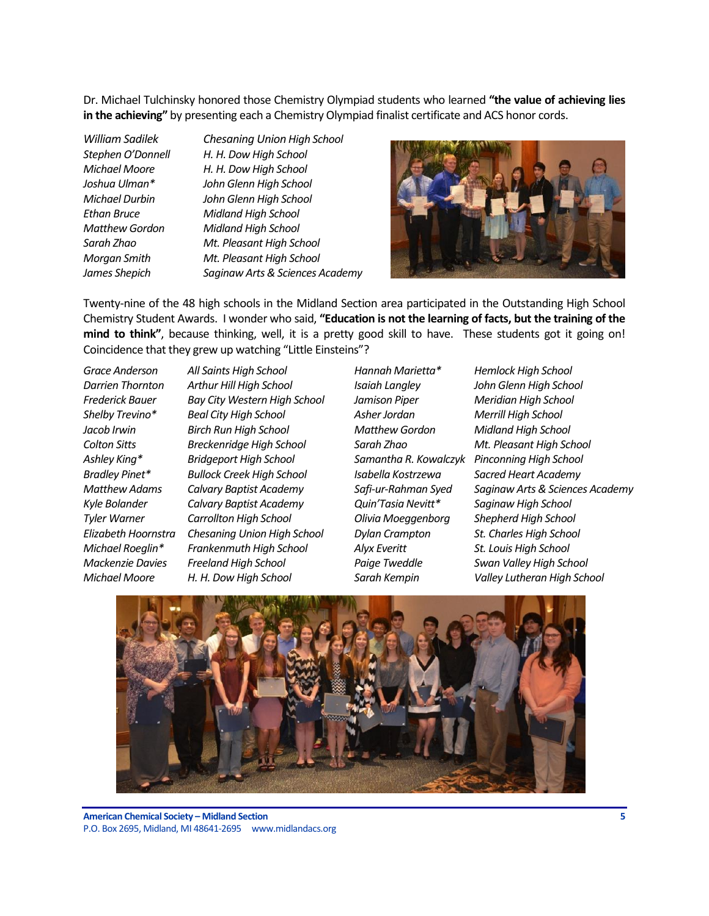Dr. Michael Tulchinsky honored those Chemistry Olympiad students who learned **"the value of achieving lies in the achieving"** by presenting each a Chemistry Olympiad finalist certificate and ACS honor cords.

*William Sadilek Chesaning Union High School Stephen O'Donnell H. H. Dow High School Michael Moore H. H. Dow High School Joshua Ulman\* John Glenn High School Michael Durbin John Glenn High School Ethan Bruce Midland High School Matthew Gordon Midland High School Sarah Zhao Mt. Pleasant High School Morgan Smith Mt. Pleasant High School James Shepich Saginaw Arts & Sciences Academy* 



Twenty-nine of the 48 high schools in the Midland Section area participated in the Outstanding High School Chemistry Student Awards. I wonder who said, **"Education is not the learning of facts, but the training of the mind to think"**, because thinking, well, it is a pretty good skill to have. These students got it going on! Coincidence that they grew up watching "Little Einsteins"?

*Grace Anderson All Saints High School Hannah Marietta\* Hemlock High School*

*Darrien Thornton Arthur Hill High School Isaiah Langley John Glenn High School Frederick Bauer Bay City Western High School Jamison Piper Meridian High School Shelby Trevino\* Beal City High School Asher Jordan Merrill High School Jacob Irwin Birch Run High School Matthew Gordon Midland High School Colton Sitts Breckenridge High School Sarah Zhao Mt. Pleasant High School Ashley King\* Bridgeport High School Samantha R. Kowalczyk Pinconning High School Bradley Pinet\* Bullock Creek High School Isabella Kostrzewa Sacred Heart Academy Kyle Bolander Calvary Baptist Academy Quin'Tasia Nevitt\* Saginaw High School Tyler Warner Carrollton High School Olivia Moeggenborg Shepherd High School Elizabeth Hoornstra Chesaning Union High School Dylan Crampton St. Charles High School Michael Roeglin\* Frankenmuth High School Alyx Everitt St. Louis High School Mackenzie Davies Freeland High School Paige Tweddle Swan Valley High School*

*Matthew Adams Calvary Baptist Academy Safi-ur-Rahman Syed Saginaw Arts & Sciences Academy Michael Moore H. H. Dow High School Sarah Kempin Valley Lutheran High School*

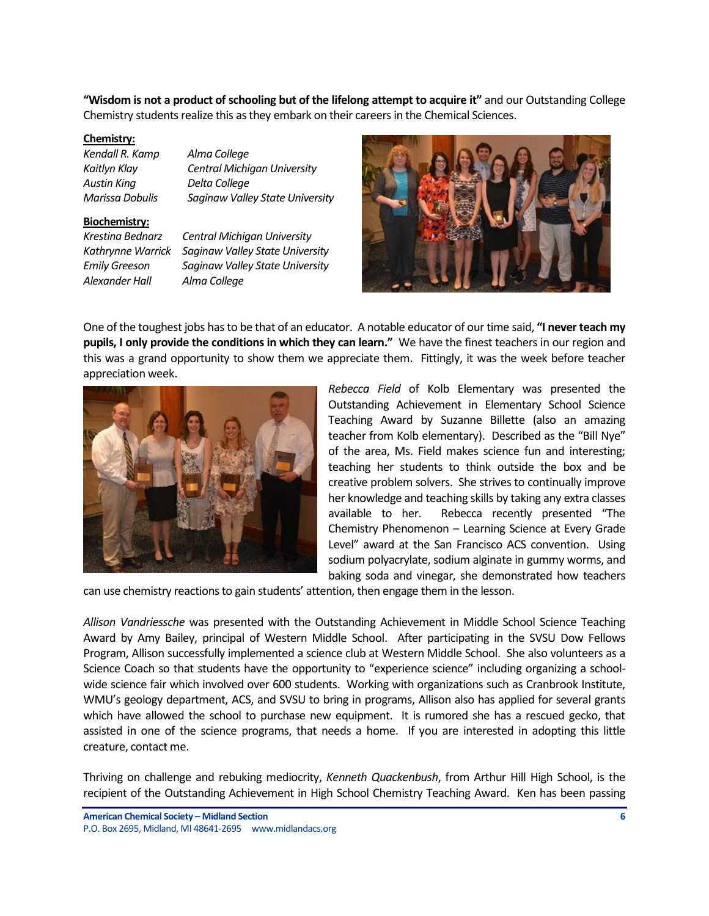**"Wisdom is not a product of schooling but of the lifelong attempt to acquire it"** and our Outstanding College Chemistry students realize this as they embark on their careers in the Chemical Sciences.

#### **Chemistry:**

| Alma College                       |
|------------------------------------|
| <b>Central Michigan University</b> |
| Delta College                      |
| Saginaw Valley State Univer        |
|                                    |

#### **Biochemistry:**

*Alexander Hall Alma College* 

*Marissa Dobulis Saginaw Valley State University Krestina Bednarz Central Michigan University* 

*Kathrynne Warrick Saginaw Valley State University Emily Greeson Saginaw Valley State University* 



One of the toughest jobs has to be that of an educator. A notable educator of our time said, **"I never teach my pupils, I only provide the conditions in which they can learn."** We have the finest teachers in our region and this was a grand opportunity to show them we appreciate them. Fittingly, it was the week before teacher appreciation week.



*Rebecca Field* of Kolb Elementary was presented the Outstanding Achievement in Elementary School Science Teaching Award by Suzanne Billette (also an amazing teacher from Kolb elementary). Described as the "Bill Nye" of the area, Ms. Field makes science fun and interesting; teaching her students to think outside the box and be creative problem solvers. She strives to continually improve her knowledge and teaching skills by taking any extra classes available to her. Rebecca recently presented "The Chemistry Phenomenon – Learning Science at Every Grade Level" award at the San Francisco ACS convention. Using sodium polyacrylate, sodium alginate in gummy worms, and baking soda and vinegar, she demonstrated how teachers

can use chemistry reactions to gain students' attention, then engage them in the lesson.

*Allison Vandriessche* was presented with the Outstanding Achievement in Middle School Science Teaching Award by Amy Bailey, principal of Western Middle School. After participating in the SVSU Dow Fellows Program, Allison successfully implemented a science club at Western Middle School. She also volunteers as a Science Coach so that students have the opportunity to "experience science" including organizing a schoolwide science fair which involved over 600 students. Working with organizations such as Cranbrook Institute, WMU's geology department, ACS, and SVSU to bring in programs, Allison also has applied for several grants which have allowed the school to purchase new equipment. It is rumored she has a rescued gecko, that assisted in one of the science programs, that needs a home. If you are interested in adopting this little creature, contact me.

Thriving on challenge and rebuking mediocrity, *Kenneth Quackenbush*, from Arthur Hill High School, is the recipient of the Outstanding Achievement in High School Chemistry Teaching Award. Ken has been passing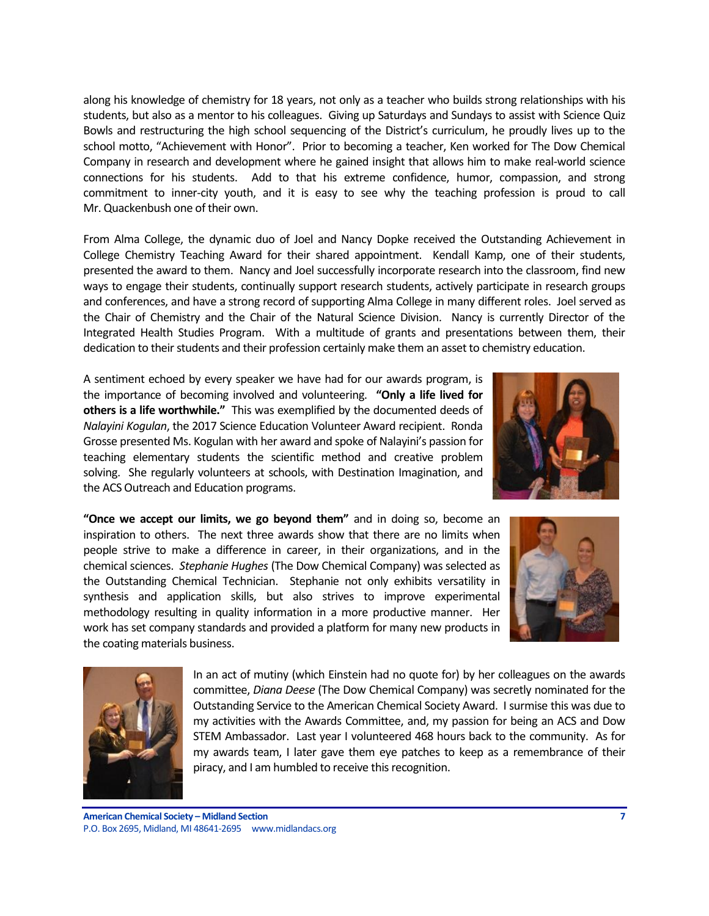along his knowledge of chemistry for 18 years, not only as a teacher who builds strong relationships with his students, but also as a mentor to his colleagues. Giving up Saturdays and Sundays to assist with Science Quiz Bowls and restructuring the high school sequencing of the District's curriculum, he proudly lives up to the school motto, "Achievement with Honor". Prior to becoming a teacher, Ken worked for The Dow Chemical Company in research and development where he gained insight that allows him to make real-world science connections for his students. Add to that his extreme confidence, humor, compassion, and strong commitment to inner-city youth, and it is easy to see why the teaching profession is proud to call Mr. Quackenbush one of their own.

From Alma College, the dynamic duo of Joel and Nancy Dopke received the Outstanding Achievement in College Chemistry Teaching Award for their shared appointment. Kendall Kamp, one of their students, presented the award to them. Nancy and Joel successfully incorporate research into the classroom, find new ways to engage their students, continually support research students, actively participate in research groups and conferences, and have a strong record of supporting Alma College in many different roles. Joel served as the Chair of Chemistry and the Chair of the Natural Science Division. Nancy is currently Director of the Integrated Health Studies Program. With a multitude of grants and presentations between them, their dedication to their students and their profession certainly make them an asset to chemistry education.

A sentiment echoed by every speaker we have had for our awards program, is the importance of becoming involved and volunteering. **"Only a life lived for others is a life worthwhile."** This was exemplified by the documented deeds of *Nalayini Kogulan*, the 2017 Science Education Volunteer Award recipient. Ronda Grosse presented Ms. Kogulan with her award and spoke of Nalayini's passion for teaching elementary students the scientific method and creative problem solving. She regularly volunteers at schools, with Destination Imagination, and the ACS Outreach and Education programs.



**"Once we accept our limits, we go beyond them"** and in doing so, become an inspiration to others. The next three awards show that there are no limits when people strive to make a difference in career, in their organizations, and in the chemical sciences. *Stephanie Hughes* (The Dow Chemical Company) was selected as the Outstanding Chemical Technician. Stephanie not only exhibits versatility in synthesis and application skills, but also strives to improve experimental methodology resulting in quality information in a more productive manner. Her work has set company standards and provided a platform for many new products in the coating materials business.





In an act of mutiny (which Einstein had no quote for) by her colleagues on the awards committee, *Diana Deese* (The Dow Chemical Company) was secretly nominated for the Outstanding Service to the American Chemical Society Award. I surmise this was due to my activities with the Awards Committee, and, my passion for being an ACS and Dow STEM Ambassador. Last year I volunteered 468 hours back to the community. As for my awards team, I later gave them eye patches to keep as a remembrance of their piracy, and I am humbled to receive this recognition.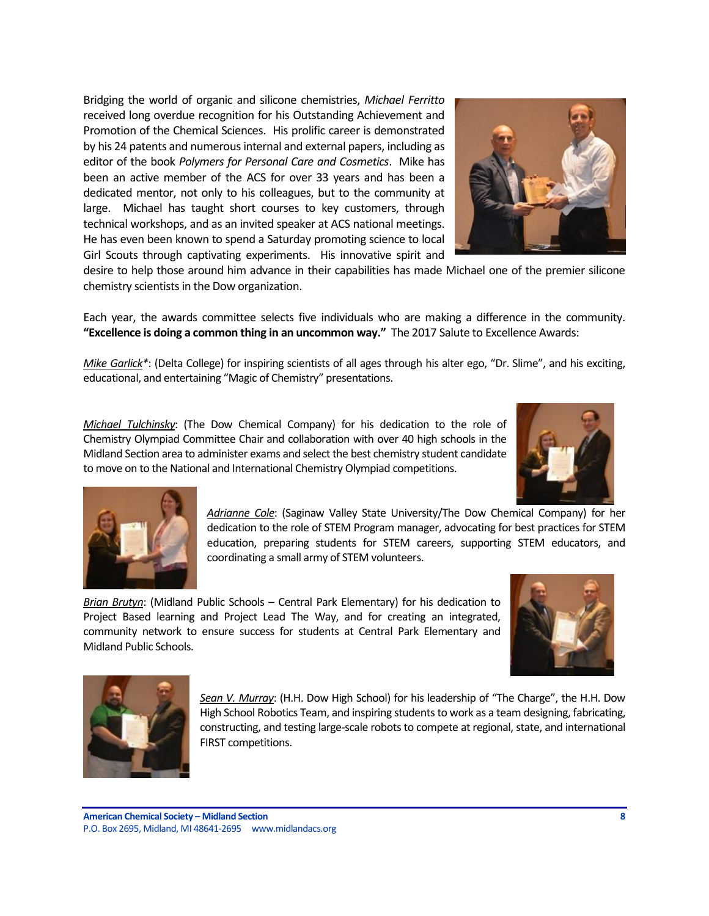Bridging the world of organic and silicone chemistries, *Michael Ferritto* received long overdue recognition for his Outstanding Achievement and Promotion of the Chemical Sciences. His prolific career is demonstrated by his 24 patents and numerous internal and external papers, including as editor of the book *Polymers for Personal Care and Cosmetics*. Mike has been an active member of the ACS for over 33 years and has been a dedicated mentor, not only to his colleagues, but to the community at large. Michael has taught short courses to key customers, through technical workshops, and as an invited speaker at ACS national meetings. He has even been known to spend a Saturday promoting science to local Girl Scouts through captivating experiments. His innovative spirit and



desire to help those around him advance in their capabilities has made Michael one of the premier silicone chemistry scientists in the Dow organization.

Each year, the awards committee selects five individuals who are making a difference in the community. **"Excellence is doing a common thing in an uncommon way."** The 2017 Salute to Excellence Awards:

*Mike Garlick\**: (Delta College) for inspiring scientists of all ages through his alter ego, "Dr. Slime", and his exciting, educational, and entertaining "Magic of Chemistry" presentations.

*Michael Tulchinsky*: (The Dow Chemical Company) for his dedication to the role of Chemistry Olympiad Committee Chair and collaboration with over 40 high schools in the Midland Section area to administer exams and select the best chemistry student candidate to move on to the National and International Chemistry Olympiad competitions.





*Adrianne Cole*: (Saginaw Valley State University/The Dow Chemical Company) for her dedication to the role of STEM Program manager, advocating for best practices for STEM education, preparing students for STEM careers, supporting STEM educators, and coordinating a small army of STEM volunteers.

*Brian Brutyn*: (Midland Public Schools – Central Park Elementary) for his dedication to Project Based learning and Project Lead The Way, and for creating an integrated, community network to ensure success for students at Central Park Elementary and Midland Public Schools.





*Sean V. Murray*: (H.H. Dow High School) for his leadership of "The Charge", the H.H. Dow High School Robotics Team, and inspiring students to work as a team designing, fabricating, constructing, and testing large-scale robots to compete at regional, state, and international FIRST competitions.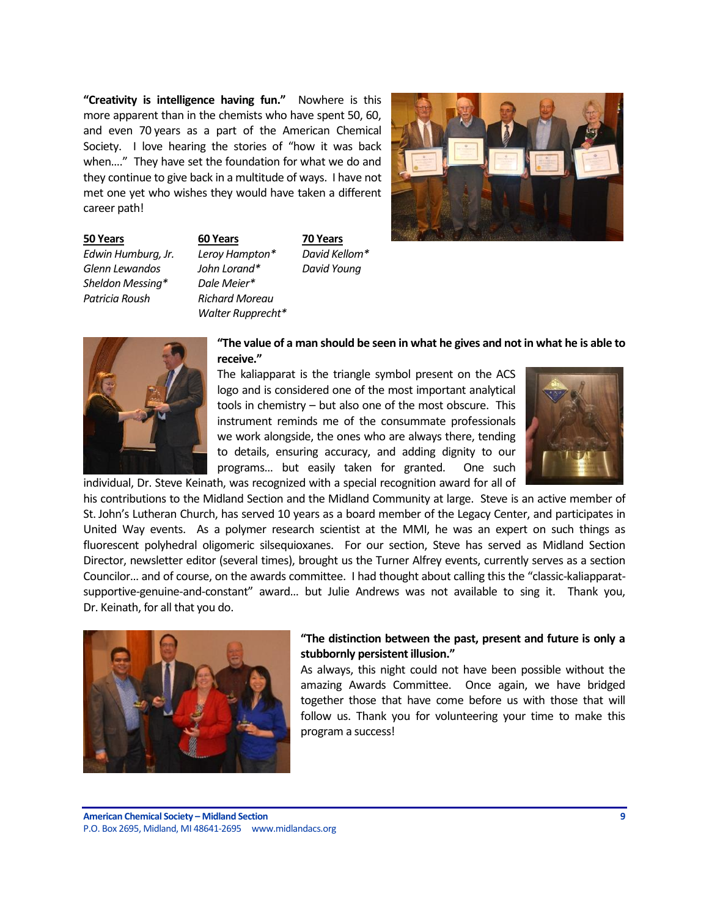**"Creativity is intelligence having fun."** Nowhere is this more apparent than in the chemists who have spent 50, 60, and even 70 years as a part of the American Chemical Society. I love hearing the stories of "how it was back when…." They have set the foundation for what we do and they continue to give back in a multitude of ways. I have not met one yet who wishes they would have taken a different career path!



*Glenn Lewandos John Lorand\* David Young Sheldon Messing\* Dale Meier\* Patricia Roush Richard Moreau*

**50 Years 60 Years 70 Years** *Edwin Humburg, Jr. Leroy Hampton\* David Kellom\* Walter Rupprecht\**



### **"The value of a man should be seen in what he gives and not in what he is able to receive."**

The kaliapparat is the triangle symbol present on the ACS logo and is considered one of the most important analytical tools in chemistry – but also one of the most obscure. This instrument reminds me of the consummate professionals we work alongside, the ones who are always there, tending to details, ensuring accuracy, and adding dignity to our programs… but easily taken for granted. One such individual, Dr. Steve Keinath, was recognized with a special recognition award for all of



his contributions to the Midland Section and the Midland Community at large. Steve is an active member of St. John's Lutheran Church, has served 10 years as a board member of the Legacy Center, and participates in United Way events. As a polymer research scientist at the MMI, he was an expert on such things as fluorescent polyhedral oligomeric silsequioxanes. For our section, Steve has served as Midland Section Director, newsletter editor (several times), brought us the Turner Alfrey events, currently serves as a section Councilor… and of course, on the awards committee. I had thought about calling this the "classic-kaliapparatsupportive-genuine-and-constant" award… but Julie Andrews was not available to sing it. Thank you, Dr. Keinath, for all that you do.



# **"The distinction between the past, present and future is only a stubbornly persistent illusion."**

As always, this night could not have been possible without the amazing Awards Committee. Once again, we have bridged together those that have come before us with those that will follow us. Thank you for volunteering your time to make this program a success!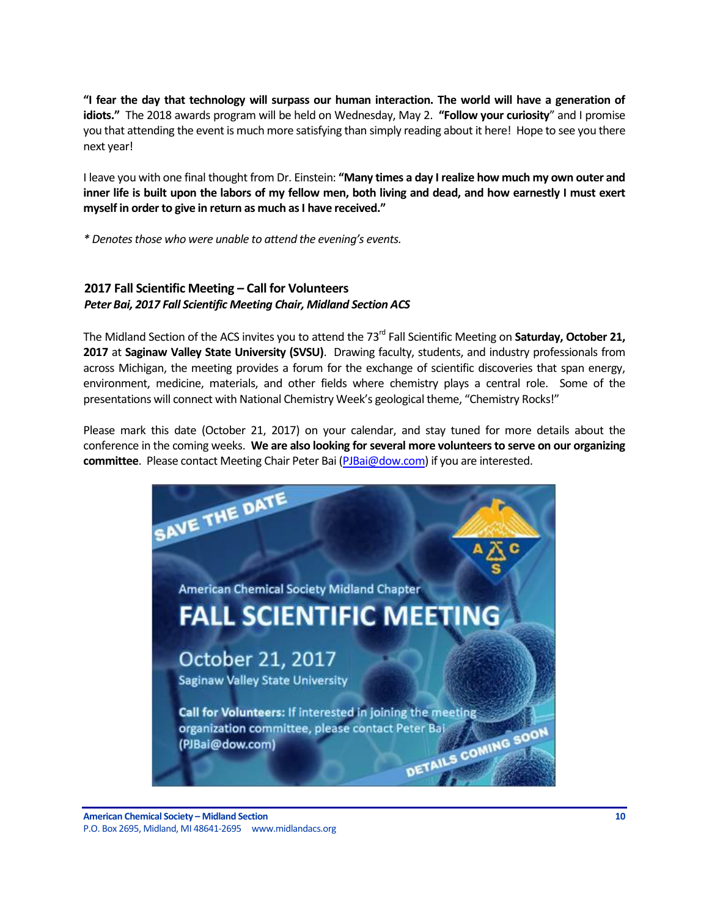**"I fear the day that technology will surpass our human interaction. The world will have a generation of idiots."** The 2018 awards program will be held on Wednesday, May 2. **"Follow your curiosity**" and I promise you that attending the event is much more satisfying than simply reading about it here! Hope to see you there next year!

I leave you with one final thought from Dr. Einstein: **"Many times a day I realize how much my own outer and inner life is built upon the labors of my fellow men, both living and dead, and how earnestly I must exert myself in order to give in return as much as I have received."**

*\* Denotes those who were unable to attend the evening's events.*

# <span id="page-9-0"></span>**2017 Fall Scientific Meeting – Call for Volunteers** *Peter Bai, 2017 Fall Scientific Meeting Chair, Midland Section ACS*

The Midland Section of the ACS invites you to attend the 73<sup>rd</sup> Fall Scientific Meeting on **Saturday, October 21, 2017** at **Saginaw Valley State University (SVSU)**. Drawing faculty, students, and industry professionals from across Michigan, the meeting provides a forum for the exchange of scientific discoveries that span energy, environment, medicine, materials, and other fields where chemistry plays a central role. Some of the presentations will connect with National Chemistry Week's geological theme, "Chemistry Rocks!"

Please mark this date (October 21, 2017) on your calendar, and stay tuned for more details about the conference in the coming weeks. **We are also looking for several more volunteers to serve on our organizing committee**. Please contact Meeting Chair Peter Bai [\(PJBai@dow.com\)](mailto:PJBai@dow.com) if you are interested.

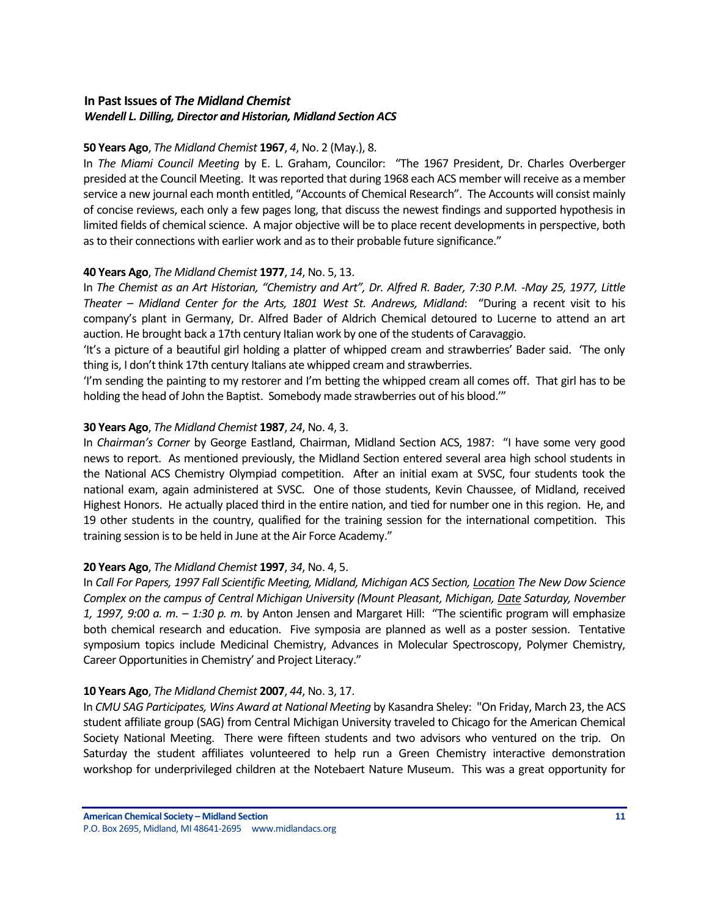# <span id="page-10-0"></span>**In Past Issues of** *The Midland Chemist Wendell L. Dilling, Director and Historian, Midland Section ACS*

## **50 Years Ago**, *The Midland Chemist* **1967**, *4*, No. 2 (May.), 8.

In *The Miami Council Meeting* by E. L. Graham, Councilor: "The 1967 President, Dr. Charles Overberger presided at the Council Meeting. It was reported that during 1968 each ACS member will receive as a member service a new journal each month entitled, "Accounts of Chemical Research". The Accounts will consist mainly of concise reviews, each only a few pages long, that discuss the newest findings and supported hypothesis in limited fields of chemical science. A major objective will be to place recent developments in perspective, both as to their connections with earlier work and as to their probable future significance."

# **40 Years Ago**, *The Midland Chemist* **1977**, *14*, No. 5, 13.

In *The Chemist as an Art Historian, "Chemistry and Art", Dr. Alfred R. Bader, 7:30 P.M. <i>-May 25, 1977, Little Theater – Midland Center for the Arts, 1801 West St. Andrews, Midland*: "During a recent visit to his company's plant in Germany, Dr. Alfred Bader of Aldrich Chemical detoured to Lucerne to attend an art auction. He brought back a 17th century Italian work by one of the students of Caravaggio.

'It's a picture of a beautiful girl holding a platter of whipped cream and strawberries' Bader said. 'The only thing is, I don't think 17th century Italians ate whipped cream and strawberries.

'I'm sending the painting to my restorer and I'm betting the whipped cream all comes off. That girl has to be holding the head of John the Baptist. Somebody made strawberries out of his blood.'"

# **30 Years Ago**, *The Midland Chemist* **1987**, *24*, No. 4, 3.

In *Chairman's Corner* by George Eastland, Chairman, Midland Section ACS, 1987: "I have some very good news to report. As mentioned previously, the Midland Section entered several area high school students in the National ACS Chemistry Olympiad competition. After an initial exam at SVSC, four students took the national exam, again administered at SVSC. One of those students, Kevin Chaussee, of Midland, received Highest Honors. He actually placed third in the entire nation, and tied for number one in this region. He, and 19 other students in the country, qualified for the training session for the international competition. This training session is to be held in June at the Air Force Academy."

### **20 Years Ago**, *The Midland Chemist* **1997**, *34*, No. 4, 5.

In *Call For Papers, 1997 Fall Scientific Meeting, Midland, Michigan ACS Section, Location The New Dow Science Complex on the campus of Central Michigan University (Mount Pleasant, Michigan, Date Saturday, November 1, 1997, 9:00 a. m. – 1:30 p. m.* by Anton Jensen and Margaret Hill: "The scientific program will emphasize both chemical research and education. Five symposia are planned as well as a poster session. Tentative symposium topics include Medicinal Chemistry, Advances in Molecular Spectroscopy, Polymer Chemistry, Career Opportunities in Chemistry' and Project Literacy."

### **10 Years Ago**, *The Midland Chemist* **2007**, *44*, No. 3, 17.

In *CMU SAG Participates, Wins Award at National Meeting* by Kasandra Sheley: "On Friday, March 23, the ACS student affiliate group (SAG) from Central Michigan University traveled to Chicago for the American Chemical Society National Meeting. There were fifteen students and two advisors who ventured on the trip. On Saturday the student affiliates volunteered to help run a Green Chemistry interactive demonstration workshop for underprivileged children at the Notebaert Nature Museum. This was a great opportunity for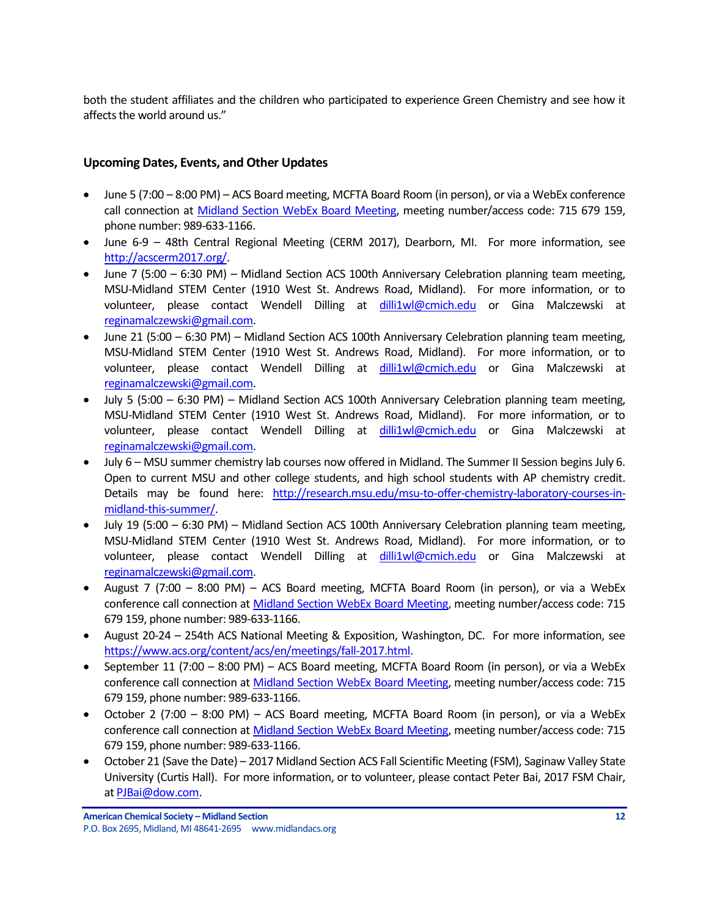both the student affiliates and the children who participated to experience Green Chemistry and see how it affects the world around us."

# <span id="page-11-0"></span>**Upcoming Dates, Events, and Other Updates**

- June 5 (7:00 8:00 PM) ACS Board meeting, MCFTA Board Room (in person), or via a WebEx conference call connection at [Midland Section WebEx Board Meeting,](https://dow.webex.com/mw3000/mywebex/default.do?service=1&main_url=%2Fmc3000%2Fe.do%3Fsiteurl%3Ddow%26AT%3DMI%26EventID%3D538213622%26MTID%3Dm6bd6812daaa9d053419d46f18be71c21%26Host%3DQUhTSwAAAAPRH17xdc850TNaqrXu82wV-x3jpjs_D1dcXCIzwwarRBsk7pqoTNERtE0mHQqtuB7HjPq8_OGpd7FHFnEY78fm0%26FrameSet%3D2&siteurl=dow&nomenu=true) meeting number/access code: 715 679 159, phone number: 989-633-1166.
- June 6-9 48th Central Regional Meeting (CERM 2017), Dearborn, MI. For more information, see [http://acscerm2017.org/.](http://acscerm2017.org/)
- June 7 (5:00 6:30 PM) Midland Section ACS 100th Anniversary Celebration planning team meeting, MSU-Midland STEM Center (1910 West St. Andrews Road, Midland). For more information, or to volunteer, please contact Wendell Dilling at [dilli1wl@cmich.edu](mailto:dilli1wl@cmich.edu) or Gina Malczewski at [reginamalczewski@gmail.com.](mailto:reginamalczewski@gmail.com)
- June 21 (5:00 6:30 PM) Midland Section ACS 100th Anniversary Celebration planning team meeting, MSU-Midland STEM Center (1910 West St. Andrews Road, Midland). For more information, or to volunteer, please contact Wendell Dilling at [dilli1wl@cmich.edu](mailto:dilli1wl@cmich.edu) or Gina Malczewski at [reginamalczewski@gmail.com.](mailto:reginamalczewski@gmail.com)
- July 5 (5:00 6:30 PM) Midland Section ACS 100th Anniversary Celebration planning team meeting, MSU-Midland STEM Center (1910 West St. Andrews Road, Midland). For more information, or to volunteer, please contact Wendell Dilling at [dilli1wl@cmich.edu](mailto:dilli1wl@cmich.edu) or Gina Malczewski at [reginamalczewski@gmail.com.](mailto:reginamalczewski@gmail.com)
- July 6 MSU summer chemistry lab courses now offered in Midland. The Summer II Session begins July 6. Open to current MSU and other college students, and high school students with AP chemistry credit. Details may be found here: [http://research.msu.edu/msu-to-offer-chemistry-laboratory-courses-in](https://na01.safelinks.protection.outlook.com/?url=http%3A%2F%2Fresearch.msu.edu%2Fmsu-to-offer-chemistry-laboratory-courses-in-midland-this-summer%2F&data=02%7C01%7Cmmt_u249822185022160332011%40mgd.bsnconnect.com%7C122ebbf7ade9472c424b08d4a3ab53ad%7Cc3e32f53cb7f4809968d1cc4ccc785fe%7C0%7C0%7C636313403621541729&sdata=e74lBHVpy4icgsi0SsuN3NQ9ax2t1Xf8aEfoa420MCM%3D&reserved=0)[midland-this-summer/.](https://na01.safelinks.protection.outlook.com/?url=http%3A%2F%2Fresearch.msu.edu%2Fmsu-to-offer-chemistry-laboratory-courses-in-midland-this-summer%2F&data=02%7C01%7Cmmt_u249822185022160332011%40mgd.bsnconnect.com%7C122ebbf7ade9472c424b08d4a3ab53ad%7Cc3e32f53cb7f4809968d1cc4ccc785fe%7C0%7C0%7C636313403621541729&sdata=e74lBHVpy4icgsi0SsuN3NQ9ax2t1Xf8aEfoa420MCM%3D&reserved=0)
- July 19 (5:00 6:30 PM) Midland Section ACS 100th Anniversary Celebration planning team meeting, MSU-Midland STEM Center (1910 West St. Andrews Road, Midland). For more information, or to volunteer, please contact Wendell Dilling at [dilli1wl@cmich.edu](mailto:dilli1wl@cmich.edu) or Gina Malczewski at [reginamalczewski@gmail.com.](mailto:reginamalczewski@gmail.com)
- August 7 (7:00 8:00 PM) ACS Board meeting, MCFTA Board Room (in person), or via a WebEx conference call connection a[t Midland Section WebEx Board Meeting,](https://dow.webex.com/mw3000/mywebex/default.do?service=1&main_url=%2Fmc3000%2Fe.do%3Fsiteurl%3Ddow%26AT%3DMI%26EventID%3D538213622%26MTID%3Dm6bd6812daaa9d053419d46f18be71c21%26Host%3DQUhTSwAAAAPRH17xdc850TNaqrXu82wV-x3jpjs_D1dcXCIzwwarRBsk7pqoTNERtE0mHQqtuB7HjPq8_OGpd7FHFnEY78fm0%26FrameSet%3D2&siteurl=dow&nomenu=true) meeting number/access code: 715 679 159, phone number: 989-633-1166.
- August 20-24 254th ACS National Meeting & Exposition, Washington, DC. For more information, see [https://www.acs.org/content/acs/en/meetings/fall-2017.html.](https://www.acs.org/content/acs/en/meetings/fall-2017.html)
- September 11 (7:00 8:00 PM) ACS Board meeting, MCFTA Board Room (in person), or via a WebEx conference call connection a[t Midland Section WebEx Board Meeting,](https://dow.webex.com/mw3000/mywebex/default.do?service=1&main_url=%2Fmc3000%2Fe.do%3Fsiteurl%3Ddow%26AT%3DMI%26EventID%3D538213622%26MTID%3Dm6bd6812daaa9d053419d46f18be71c21%26Host%3DQUhTSwAAAAPRH17xdc850TNaqrXu82wV-x3jpjs_D1dcXCIzwwarRBsk7pqoTNERtE0mHQqtuB7HjPq8_OGpd7FHFnEY78fm0%26FrameSet%3D2&siteurl=dow&nomenu=true) meeting number/access code: 715 679 159, phone number: 989-633-1166.
- October 2 (7:00 8:00 PM) ACS Board meeting, MCFTA Board Room (in person), or via a WebEx conference call connection a[t Midland Section WebEx Board Meeting,](https://dow.webex.com/mw3000/mywebex/default.do?service=1&main_url=%2Fmc3000%2Fe.do%3Fsiteurl%3Ddow%26AT%3DMI%26EventID%3D538213622%26MTID%3Dm6bd6812daaa9d053419d46f18be71c21%26Host%3DQUhTSwAAAAPRH17xdc850TNaqrXu82wV-x3jpjs_D1dcXCIzwwarRBsk7pqoTNERtE0mHQqtuB7HjPq8_OGpd7FHFnEY78fm0%26FrameSet%3D2&siteurl=dow&nomenu=true) meeting number/access code: 715 679 159, phone number: 989-633-1166.
- October 21 (Save the Date) 2017 Midland Section ACS Fall Scientific Meeting (FSM), Saginaw Valley State University (Curtis Hall). For more information, or to volunteer, please contact Peter Bai, 2017 FSM Chair, a[t PJBai@dow.com.](mailto:PJBai@dow.com)